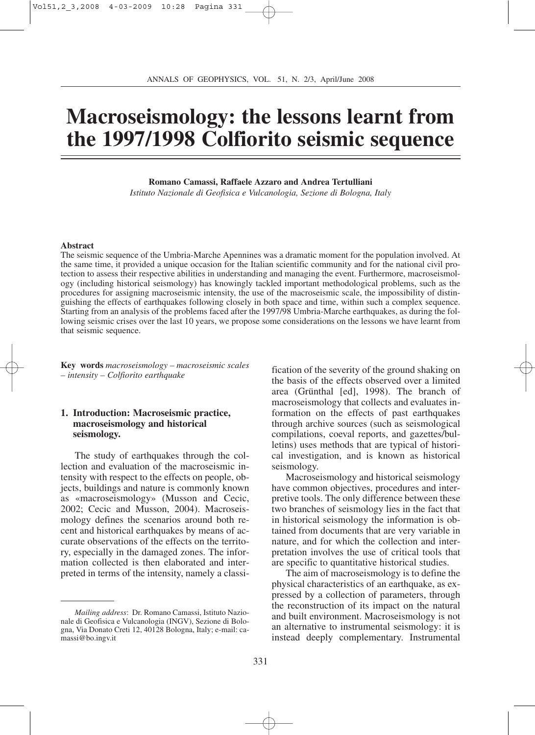# **Macroseismology: the lessons learnt from the 1997/1998 Colfiorito seismic sequence**

#### **Romano Camassi, Raffaele Azzaro and Andrea Tertulliani**

*Istituto Nazionale di Geofisica e Vulcanologia, Sezione di Bologna, Italy*

#### **Abstract**

The seismic sequence of the Umbria-Marche Apennines was a dramatic moment for the population involved. At the same time, it provided a unique occasion for the Italian scientific community and for the national civil protection to assess their respective abilities in understanding and managing the event. Furthermore, macroseismology (including historical seismology) has knowingly tackled important methodological problems, such as the procedures for assigning macroseismic intensity, the use of the macroseismic scale, the impossibility of distinguishing the effects of earthquakes following closely in both space and time, within such a complex sequence. Starting from an analysis of the problems faced after the 1997/98 Umbria-Marche earthquakes, as during the following seismic crises over the last 10 years, we propose some considerations on the lessons we have learnt from that seismic sequence.

**Key words** *macroseismology – macroseismic scales – intensity – Colfiorito earthquake*

## **1. Introduction: Macroseismic practice, macroseismology and historical seismology.**

The study of earthquakes through the collection and evaluation of the macroseismic intensity with respect to the effects on people, objects, buildings and nature is commonly known as «macroseismology» (Musson and Cecic, 2002; Cecic and Musson, 2004). Macroseismology defines the scenarios around both recent and historical earthquakes by means of accurate observations of the effects on the territory, especially in the damaged zones. The information collected is then elaborated and interpreted in terms of the intensity, namely a classi-

fication of the severity of the ground shaking on the basis of the effects observed over a limited area (Grünthal [ed], 1998). The branch of macroseismology that collects and evaluates information on the effects of past earthquakes through archive sources (such as seismological compilations, coeval reports, and gazettes/bulletins) uses methods that are typical of historical investigation, and is known as historical seismology.

Macroseismology and historical seismology have common objectives, procedures and interpretive tools. The only difference between these two branches of seismology lies in the fact that in historical seismology the information is obtained from documents that are very variable in nature, and for which the collection and interpretation involves the use of critical tools that are specific to quantitative historical studies.

The aim of macroseismology is to define the physical characteristics of an earthquake, as expressed by a collection of parameters, through the reconstruction of its impact on the natural and built environment. Macroseismology is not an alternative to instrumental seismology: it is instead deeply complementary. Instrumental

*Mailing address*: Dr. Romano Camassi, Istituto Nazionale di Geofisica e Vulcanologia (INGV), Sezione di Bologna, Via Donato Creti 12, 40128 Bologna, Italy; e-mail: camassi@bo.ingv.it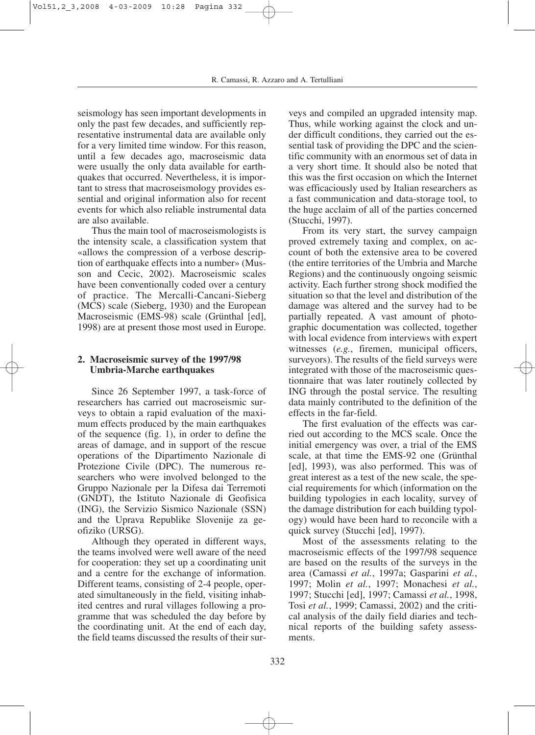seismology has seen important developments in only the past few decades, and sufficiently representative instrumental data are available only for a very limited time window. For this reason, until a few decades ago, macroseismic data were usually the only data available for earthquakes that occurred. Nevertheless, it is important to stress that macroseismology provides essential and original information also for recent events for which also reliable instrumental data are also available.

Thus the main tool of macroseismologists is the intensity scale, a classification system that «allows the compression of a verbose description of earthquake effects into a number» (Musson and Cecic, 2002). Macroseismic scales have been conventionally coded over a century of practice. The Mercalli-Cancani-Sieberg (MCS) scale (Sieberg, 1930) and the European Macroseismic (EMS-98) scale (Grünthal [ed], 1998) are at present those most used in Europe.

# **2. Macroseismic survey of the 1997/98 Umbria-Marche earthquakes**

Since 26 September 1997, a task-force of researchers has carried out macroseismic surveys to obtain a rapid evaluation of the maximum effects produced by the main earthquakes of the sequence (fig. 1), in order to define the areas of damage, and in support of the rescue operations of the Dipartimento Nazionale di Protezione Civile (DPC). The numerous researchers who were involved belonged to the Gruppo Nazionale per la Difesa dai Terremoti (GNDT), the Istituto Nazionale di Geofisica (ING), the Servizio Sismico Nazionale (SSN) and the Uprava Republike Slovenije za geofiziko (URSG).

Although they operated in different ways, the teams involved were well aware of the need for cooperation: they set up a coordinating unit and a centre for the exchange of information. Different teams, consisting of 2-4 people, operated simultaneously in the field, visiting inhabited centres and rural villages following a programme that was scheduled the day before by the coordinating unit. At the end of each day, the field teams discussed the results of their surveys and compiled an upgraded intensity map. Thus, while working against the clock and under difficult conditions, they carried out the essential task of providing the DPC and the scientific community with an enormous set of data in a very short time. It should also be noted that this was the first occasion on which the Internet was efficaciously used by Italian researchers as a fast communication and data-storage tool, to the huge acclaim of all of the parties concerned (Stucchi, 1997).

From its very start, the survey campaign proved extremely taxing and complex, on account of both the extensive area to be covered (the entire territories of the Umbria and Marche Regions) and the continuously ongoing seismic activity. Each further strong shock modified the situation so that the level and distribution of the damage was altered and the survey had to be partially repeated. A vast amount of photographic documentation was collected, together with local evidence from interviews with expert witnesses (*e.g.*, firemen, municipal officers, surveyors). The results of the field surveys were integrated with those of the macroseismic questionnaire that was later routinely collected by ING through the postal service. The resulting data mainly contributed to the definition of the effects in the far-field.

The first evaluation of the effects was carried out according to the MCS scale. Once the initial emergency was over, a trial of the EMS scale, at that time the EMS-92 one (Grünthal [ed], 1993), was also performed. This was of great interest as a test of the new scale, the special requirements for which (information on the building typologies in each locality, survey of the damage distribution for each building typology) would have been hard to reconcile with a quick survey (Stucchi [ed], 1997).

Most of the assessments relating to the macroseismic effects of the 1997/98 sequence are based on the results of the surveys in the area (Camassi *et al.*, 1997a; Gasparini *et al.*, 1997; Molin *et al.*, 1997; Monachesi *et al.*, 1997; Stucchi [ed], 1997; Camassi *et al.*, 1998, Tosi *et al.*, 1999; Camassi, 2002) and the critical analysis of the daily field diaries and technical reports of the building safety assessments.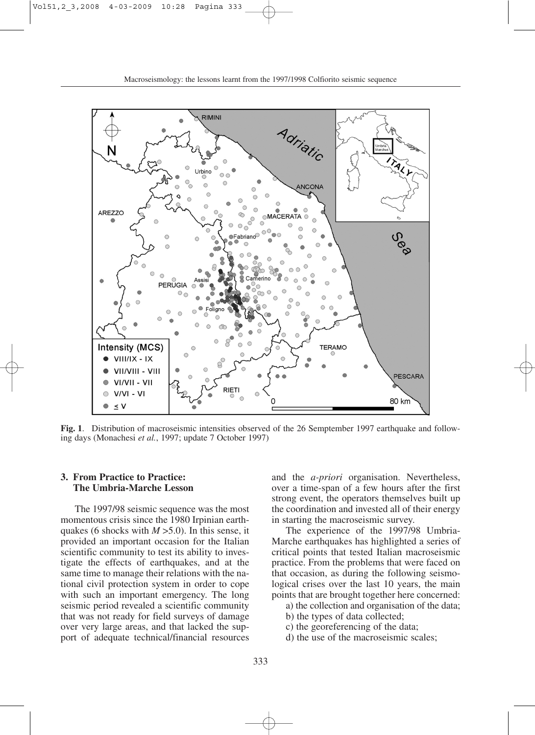

**Fig. 1**. Distribution of macroseismic intensities observed of the 26 Semptember 1997 earthquake and following days (Monachesi *et al.*, 1997; update 7 October 1997)

## **3. From Practice to Practice: The Umbria-Marche Lesson**

The 1997/98 seismic sequence was the most momentous crisis since the 1980 Irpinian earthquakes (6 shocks with *M* >5.0). In this sense, it provided an important occasion for the Italian scientific community to test its ability to investigate the effects of earthquakes, and at the same time to manage their relations with the national civil protection system in order to cope with such an important emergency. The long seismic period revealed a scientific community that was not ready for field surveys of damage over very large areas, and that lacked the support of adequate technical/financial resources

and the *a-priori* organisation. Nevertheless, over a time-span of a few hours after the first strong event, the operators themselves built up the coordination and invested all of their energy in starting the macroseismic survey.

The experience of the 1997/98 Umbria-Marche earthquakes has highlighted a series of critical points that tested Italian macroseismic practice. From the problems that were faced on that occasion, as during the following seismological crises over the last 10 years, the main points that are brought together here concerned:

- a) the collection and organisation of the data;
- b) the types of data collected;
- c) the georeferencing of the data;
- d) the use of the macroseismic scales;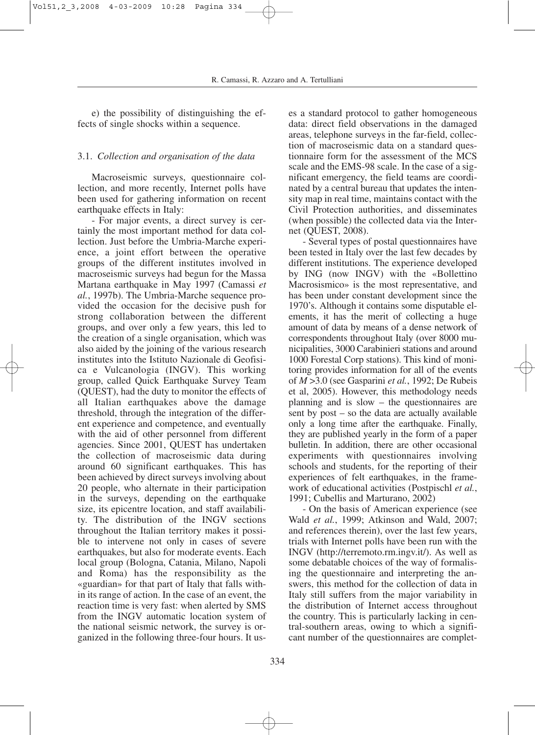e) the possibility of distinguishing the effects of single shocks within a sequence.

# 3.1. *Collection and organisation of the data*

Macroseismic surveys, questionnaire collection, and more recently, Internet polls have been used for gathering information on recent earthquake effects in Italy:

- For major events, a direct survey is certainly the most important method for data collection. Just before the Umbria-Marche experience, a joint effort between the operative groups of the different institutes involved in macroseismic surveys had begun for the Massa Martana earthquake in May 1997 (Camassi *et al.*, 1997b). The Umbria-Marche sequence provided the occasion for the decisive push for strong collaboration between the different groups, and over only a few years, this led to the creation of a single organisation, which was also aided by the joining of the various research institutes into the Istituto Nazionale di Geofisica e Vulcanologia (INGV). This working group, called Quick Earthquake Survey Team (QUEST), had the duty to monitor the effects of all Italian earthquakes above the damage threshold, through the integration of the different experience and competence, and eventually with the aid of other personnel from different agencies. Since 2001, QUEST has undertaken the collection of macroseismic data during around 60 significant earthquakes. This has been achieved by direct surveys involving about 20 people, who alternate in their participation in the surveys, depending on the earthquake size, its epicentre location, and staff availability. The distribution of the INGV sections throughout the Italian territory makes it possible to intervene not only in cases of severe earthquakes, but also for moderate events. Each local group (Bologna, Catania, Milano, Napoli and Roma) has the responsibility as the «guardian» for that part of Italy that falls within its range of action. In the case of an event, the reaction time is very fast: when alerted by SMS from the INGV automatic location system of the national seismic network, the survey is organized in the following three-four hours. It uses a standard protocol to gather homogeneous data: direct field observations in the damaged areas, telephone surveys in the far-field, collection of macroseismic data on a standard questionnaire form for the assessment of the MCS scale and the EMS-98 scale. In the case of a significant emergency, the field teams are coordinated by a central bureau that updates the intensity map in real time, maintains contact with the Civil Protection authorities, and disseminates (when possible) the collected data via the Internet (QUEST, 2008).

- Several types of postal questionnaires have been tested in Italy over the last few decades by different institutions. The experience developed by ING (now INGV) with the «Bollettino Macrosismico» is the most representative, and has been under constant development since the 1970's. Although it contains some disputable elements, it has the merit of collecting a huge amount of data by means of a dense network of correspondents throughout Italy (over 8000 municipalities, 3000 Carabinieri stations and around 1000 Forestal Corp stations). This kind of monitoring provides information for all of the events of *M* >3.0 (see Gasparini *et al.*, 1992; De Rubeis et al, 2005). However, this methodology needs planning and is slow – the questionnaires are sent by post – so the data are actually available only a long time after the earthquake. Finally, they are published yearly in the form of a paper bulletin. In addition, there are other occasional experiments with questionnaires involving schools and students, for the reporting of their experiences of felt earthquakes, in the framework of educational activities (Postpischl *et al.*, 1991; Cubellis and Marturano, 2002)

- On the basis of American experience (see Wald *et al.*, 1999; Atkinson and Wald, 2007; and references therein), over the last few years, trials with Internet polls have been run with the INGV (http://terremoto.rm.ingv.it/). As well as some debatable choices of the way of formalising the questionnaire and interpreting the answers, this method for the collection of data in Italy still suffers from the major variability in the distribution of Internet access throughout the country. This is particularly lacking in central-southern areas, owing to which a significant number of the questionnaires are complet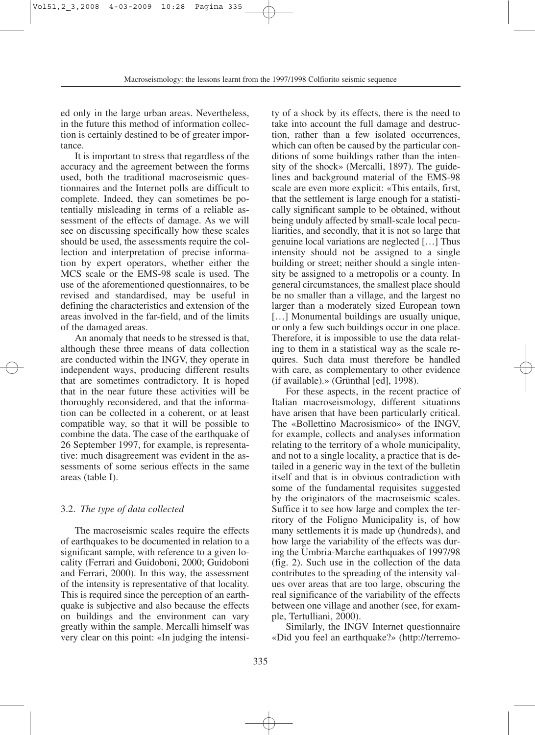ed only in the large urban areas. Nevertheless, in the future this method of information collection is certainly destined to be of greater importance.

It is important to stress that regardless of the accuracy and the agreement between the forms used, both the traditional macroseismic questionnaires and the Internet polls are difficult to complete. Indeed, they can sometimes be potentially misleading in terms of a reliable assessment of the effects of damage. As we will see on discussing specifically how these scales should be used, the assessments require the collection and interpretation of precise information by expert operators, whether either the MCS scale or the EMS-98 scale is used. The use of the aforementioned questionnaires, to be revised and standardised, may be useful in defining the characteristics and extension of the areas involved in the far-field, and of the limits of the damaged areas.

An anomaly that needs to be stressed is that, although these three means of data collection are conducted within the INGV, they operate in independent ways, producing different results that are sometimes contradictory. It is hoped that in the near future these activities will be thoroughly reconsidered, and that the information can be collected in a coherent, or at least compatible way, so that it will be possible to combine the data. The case of the earthquake of 26 September 1997, for example, is representative: much disagreement was evident in the assessments of some serious effects in the same areas (table I).

# 3.2. *The type of data collected*

The macroseismic scales require the effects of earthquakes to be documented in relation to a significant sample, with reference to a given locality (Ferrari and Guidoboni, 2000; Guidoboni and Ferrari, 2000). In this way, the assessment of the intensity is representative of that locality. This is required since the perception of an earthquake is subjective and also because the effects on buildings and the environment can vary greatly within the sample. Mercalli himself was very clear on this point: «In judging the intensi-

ty of a shock by its effects, there is the need to take into account the full damage and destruction, rather than a few isolated occurrences, which can often be caused by the particular conditions of some buildings rather than the intensity of the shock» (Mercalli, 1897). The guidelines and background material of the EMS-98 scale are even more explicit: «This entails, first, that the settlement is large enough for a statistically significant sample to be obtained, without being unduly affected by small-scale local peculiarities, and secondly, that it is not so large that genuine local variations are neglected […] Thus intensity should not be assigned to a single building or street; neither should a single intensity be assigned to a metropolis or a county. In general circumstances, the smallest place should be no smaller than a village, and the largest no larger than a moderately sized European town [...] Monumental buildings are usually unique, or only a few such buildings occur in one place. Therefore, it is impossible to use the data relating to them in a statistical way as the scale requires. Such data must therefore be handled with care, as complementary to other evidence (if available).» (Grünthal [ed], 1998).

For these aspects, in the recent practice of Italian macroseismology, different situations have arisen that have been particularly critical. The «Bollettino Macrosismico» of the INGV, for example, collects and analyses information relating to the territory of a whole municipality, and not to a single locality, a practice that is detailed in a generic way in the text of the bulletin itself and that is in obvious contradiction with some of the fundamental requisites suggested by the originators of the macroseismic scales. Suffice it to see how large and complex the territory of the Foligno Municipality is, of how many settlements it is made up (hundreds), and how large the variability of the effects was during the Umbria-Marche earthquakes of 1997/98 (fig. 2). Such use in the collection of the data contributes to the spreading of the intensity values over areas that are too large, obscuring the real significance of the variability of the effects between one village and another (see, for example, Tertulliani, 2000).

Similarly, the INGV Internet questionnaire «Did you feel an earthquake?» (http://terremo-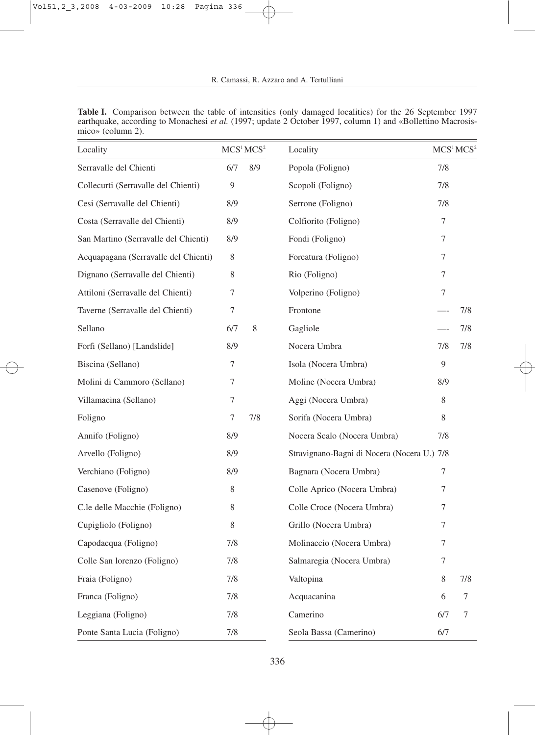|                   |  | <b>Table I.</b> Comparison between the table of intensities (only damaged localities) for the 26 September 1997    |  |  |  |  |
|-------------------|--|--------------------------------------------------------------------------------------------------------------------|--|--|--|--|
|                   |  | earthquake, according to Monachesi <i>et al.</i> (1997; update 2 October 1997, column 1) and «Bollettino Macrosis- |  |  |  |  |
| mico» (column 2). |  |                                                                                                                    |  |  |  |  |

| Locality                             | MCS <sup>1</sup> MCS <sup>2</sup> |     | Locality                                    | MCS <sup>1</sup> MCS <sup>2</sup> |     |
|--------------------------------------|-----------------------------------|-----|---------------------------------------------|-----------------------------------|-----|
| Serravalle del Chienti               | 6/7                               | 8/9 | Popola (Foligno)                            | 7/8                               |     |
| Collecurti (Serravalle del Chienti)  | 9                                 |     | Scopoli (Foligno)                           | 7/8                               |     |
| Cesi (Serravalle del Chienti)        | 8/9                               |     | Serrone (Foligno)                           | 7/8                               |     |
| Costa (Serravalle del Chienti)       | 8/9                               |     | Colfiorito (Foligno)                        | $\overline{7}$                    |     |
| San Martino (Serravalle del Chienti) | 8/9                               |     | Fondi (Foligno)                             | $\tau$                            |     |
| Acquapagana (Serravalle del Chienti) | 8                                 |     | Forcatura (Foligno)                         | 7                                 |     |
| Dignano (Serravalle del Chienti)     | 8                                 |     | Rio (Foligno)                               | 7                                 |     |
| Attiloni (Serravalle del Chienti)    | 7                                 |     | Volperino (Foligno)                         | $\tau$                            |     |
| Taverne (Serravalle del Chienti)     | 7                                 |     | Frontone                                    |                                   | 7/8 |
| Sellano                              | 6/7                               | 8   | Gagliole                                    |                                   | 7/8 |
| Forfi (Sellano) [Landslide]          | 8/9                               |     | Nocera Umbra                                | 7/8                               | 7/8 |
| Biscina (Sellano)                    | 7                                 |     | Isola (Nocera Umbra)                        | $\overline{Q}$                    |     |
| Molini di Cammoro (Sellano)          | 7                                 |     | Moline (Nocera Umbra)                       | 8/9                               |     |
| Villamacina (Sellano)                | 7                                 |     | Aggi (Nocera Umbra)                         | 8                                 |     |
| Foligno                              | 7                                 | 7/8 | Sorifa (Nocera Umbra)                       | 8                                 |     |
| Annifo (Foligno)                     | 8/9                               |     | Nocera Scalo (Nocera Umbra)                 | 7/8                               |     |
| Arvello (Foligno)                    | 8/9                               |     | Stravignano-Bagni di Nocera (Nocera U.) 7/8 |                                   |     |
| Verchiano (Foligno)                  | 8/9                               |     | Bagnara (Nocera Umbra)                      | 7                                 |     |
| Casenove (Foligno)                   | 8                                 |     | Colle Aprico (Nocera Umbra)                 | 7                                 |     |
| C.le delle Macchie (Foligno)         | 8                                 |     | Colle Croce (Nocera Umbra)                  | 7                                 |     |
| Cupigliolo (Foligno)                 | 8                                 |     | Grillo (Nocera Umbra)                       | $\tau$                            |     |
| Capodacqua (Foligno)                 | 7/8                               |     | Molinaccio (Nocera Umbra)                   | $\tau$                            |     |
| Colle San lorenzo (Foligno)          | 7/8                               |     | Salmaregia (Nocera Umbra)                   | 7                                 |     |
| Fraia (Foligno)                      | 7/8                               |     | Valtopina                                   | 8                                 | 7/8 |
| Franca (Foligno)                     | 7/8                               |     | Acquacanina                                 | 6                                 | 7   |
| Leggiana (Foligno)                   | 7/8                               |     | Camerino                                    | 6/7                               | 7   |
| Ponte Santa Lucia (Foligno)          | 7/8                               |     | Seola Bassa (Camerino)                      | 6/7                               |     |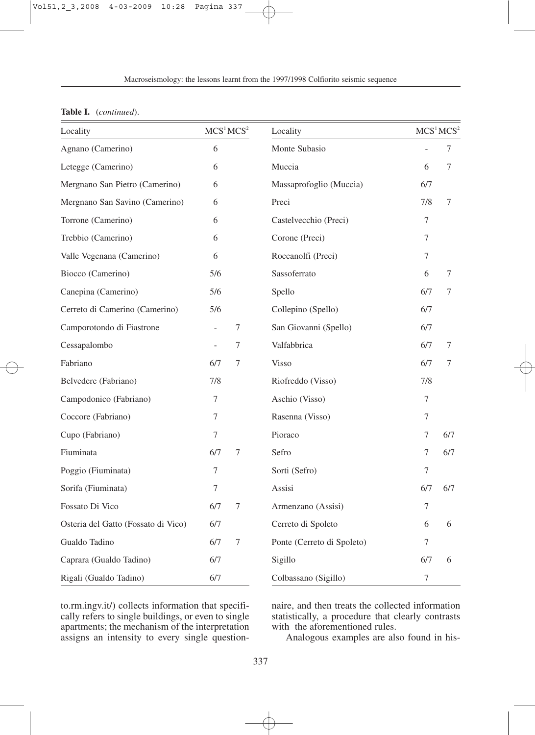| Locality                            | MCS <sup>1</sup> MCS <sup>2</sup><br>6 |   | Locality                   | MCS <sup>1</sup> MCS <sup>2</sup><br>7 |     |  |
|-------------------------------------|----------------------------------------|---|----------------------------|----------------------------------------|-----|--|
| Agnano (Camerino)                   |                                        |   | Monte Subasio              |                                        |     |  |
| Letegge (Camerino)                  | 6                                      |   | Muccia                     | 6                                      | 7   |  |
| Mergnano San Pietro (Camerino)      | 6                                      |   | Massaprofoglio (Muccia)    | 6/7                                    |     |  |
| Mergnano San Savino (Camerino)      | 6                                      |   | Preci                      | 7/8                                    | 7   |  |
| Torrone (Camerino)                  | 6                                      |   | Castelvecchio (Preci)      | 7                                      |     |  |
| Trebbio (Camerino)                  | 6                                      |   | Corone (Preci)             | 7                                      |     |  |
| Valle Vegenana (Camerino)           | 6                                      |   | Roccanolfi (Preci)         | $\boldsymbol{7}$                       |     |  |
| Biocco (Camerino)                   | 5/6                                    |   | Sassoferrato               | 6                                      | 7   |  |
| Canepina (Camerino)                 | 5/6                                    |   | Spello                     | 6/7                                    | 7   |  |
| Cerreto di Camerino (Camerino)      | 5/6                                    |   | Collepino (Spello)         | 6/7                                    |     |  |
| Camporotondo di Fiastrone           |                                        | 7 | San Giovanni (Spello)      | 6/7                                    |     |  |
| Cessapalombo                        |                                        | 7 | Valfabbrica                | 6/7                                    | 7   |  |
| Fabriano                            | 6/7                                    | 7 | <b>Visso</b>               | 6/7                                    | 7   |  |
| Belvedere (Fabriano)                | 7/8                                    |   | Riofreddo (Visso)          | 7/8                                    |     |  |
| Campodonico (Fabriano)              | 7                                      |   | Aschio (Visso)             | 7                                      |     |  |
| Coccore (Fabriano)                  | 7                                      |   | Rasenna (Visso)            | $\boldsymbol{7}$                       |     |  |
| Cupo (Fabriano)                     | 7                                      |   | Pioraco                    | $\tau$                                 | 6/7 |  |
| Fiuminata                           | 6/7                                    | 7 | Sefro                      | 7                                      | 6/7 |  |
| Poggio (Fiuminata)                  | 7                                      |   | Sorti (Sefro)              | 7                                      |     |  |
| Sorifa (Fiuminata)                  | 7                                      |   | Assisi                     | 6/7                                    | 6/7 |  |
| Fossato Di Vico                     | 6/7                                    | 7 | Armenzano (Assisi)         | 7                                      |     |  |
| Osteria del Gatto (Fossato di Vico) | 6/7                                    |   | Cerreto di Spoleto         | 6                                      | 6   |  |
| Gualdo Tadino                       | 6/7                                    | 7 | Ponte (Cerreto di Spoleto) | 7                                      |     |  |
| Caprara (Gualdo Tadino)             | 6/7                                    |   | Sigillo                    | 6/7                                    | 6   |  |
| Rigali (Gualdo Tadino)              | 6/7                                    |   | Colbassano (Sigillo)       | 7                                      |     |  |

**Table I.** (*continued*).

to.rm.ingv.it/) collects information that specifically refers to single buildings, or even to single apartments; the mechanism of the interpretation assigns an intensity to every single questionnaire, and then treats the collected information statistically, a procedure that clearly contrasts with the aforementioned rules.

Analogous examples are also found in his-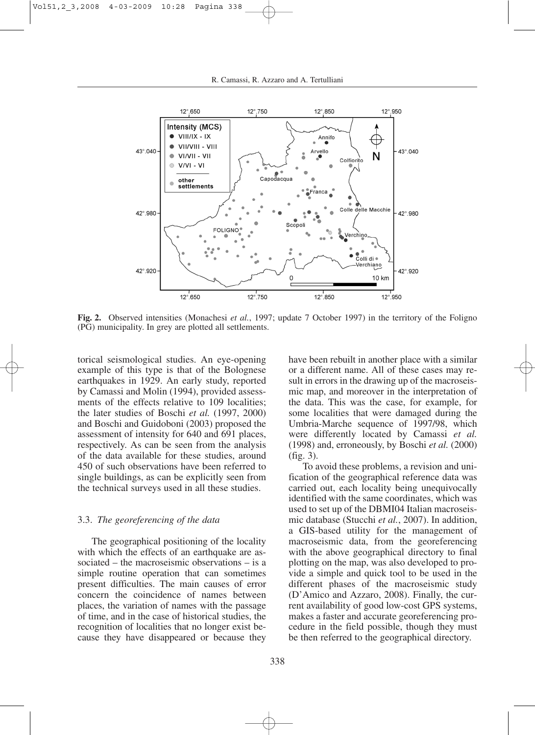

**Fig. 2.** Observed intensities (Monachesi *et al.*, 1997; update 7 October 1997) in the territory of the Foligno (PG) municipality. In grey are plotted all settlements.

torical seismological studies. An eye-opening example of this type is that of the Bolognese earthquakes in 1929. An early study, reported by Camassi and Molin (1994), provided assessments of the effects relative to 109 localities; the later studies of Boschi *et al.* (1997, 2000) and Boschi and Guidoboni (2003) proposed the assessment of intensity for 640 and 691 places, respectively. As can be seen from the analysis of the data available for these studies, around 450 of such observations have been referred to single buildings, as can be explicitly seen from the technical surveys used in all these studies.

### 3.3. *The georeferencing of the data*

The geographical positioning of the locality with which the effects of an earthquake are associated – the macroseismic observations – is a simple routine operation that can sometimes present difficulties. The main causes of error concern the coincidence of names between places, the variation of names with the passage of time, and in the case of historical studies, the recognition of localities that no longer exist because they have disappeared or because they have been rebuilt in another place with a similar or a different name. All of these cases may result in errors in the drawing up of the macroseismic map, and moreover in the interpretation of the data. This was the case, for example, for some localities that were damaged during the Umbria-Marche sequence of 1997/98, which were differently located by Camassi *et al.* (1998) and, erroneously, by Boschi *et al.* (2000) (fig. 3).

To avoid these problems, a revision and unification of the geographical reference data was carried out, each locality being unequivocally identified with the same coordinates, which was used to set up of the DBMI04 Italian macroseismic database (Stucchi *et al.*, 2007). In addition, a GIS-based utility for the management of macroseismic data, from the georeferencing with the above geographical directory to final plotting on the map, was also developed to provide a simple and quick tool to be used in the different phases of the macroseismic study (D'Amico and Azzaro, 2008). Finally, the current availability of good low-cost GPS systems, makes a faster and accurate georeferencing procedure in the field possible, though they must be then referred to the geographical directory.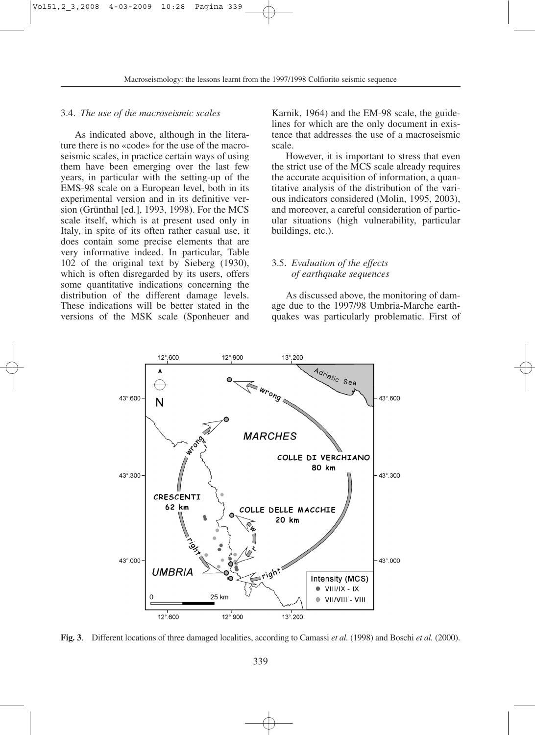## 3.4. *The use of the macroseismic scales*

As indicated above, although in the literature there is no «code» for the use of the macroseismic scales, in practice certain ways of using them have been emerging over the last few years, in particular with the setting-up of the EMS-98 scale on a European level, both in its experimental version and in its definitive version (Grünthal [ed.], 1993, 1998). For the MCS scale itself, which is at present used only in Italy, in spite of its often rather casual use, it does contain some precise elements that are very informative indeed. In particular, Table 102 of the original text by Sieberg (1930), which is often disregarded by its users, offers some quantitative indications concerning the distribution of the different damage levels. These indications will be better stated in the versions of the MSK scale (Sponheuer and

Karnik, 1964) and the EM-98 scale, the guidelines for which are the only document in existence that addresses the use of a macroseismic scale.

However, it is important to stress that even the strict use of the MCS scale already requires the accurate acquisition of information, a quantitative analysis of the distribution of the various indicators considered (Molin, 1995, 2003), and moreover, a careful consideration of particular situations (high vulnerability, particular buildings, etc.).

## 3.5. *Evaluation of the effects of earthquake sequences*

As discussed above, the monitoring of damage due to the 1997/98 Umbria-Marche earthquakes was particularly problematic. First of



**Fig. 3**. Different locations of three damaged localities, according to Camassi *et al.* (1998) and Boschi *et al.* (2000).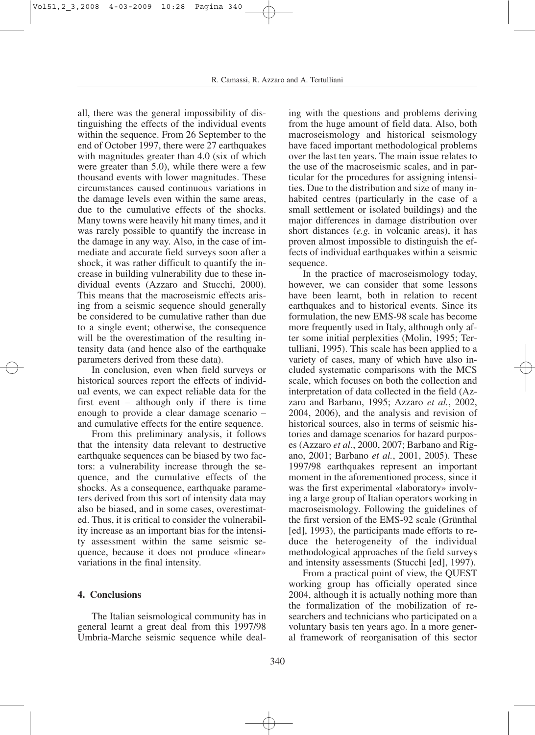all, there was the general impossibility of distinguishing the effects of the individual events within the sequence. From 26 September to the end of October 1997, there were 27 earthquakes with magnitudes greater than 4.0 (six of which were greater than 5.0), while there were a few thousand events with lower magnitudes. These circumstances caused continuous variations in the damage levels even within the same areas, due to the cumulative effects of the shocks. Many towns were heavily hit many times, and it was rarely possible to quantify the increase in the damage in any way. Also, in the case of immediate and accurate field surveys soon after a shock, it was rather difficult to quantify the increase in building vulnerability due to these individual events (Azzaro and Stucchi, 2000). This means that the macroseismic effects arising from a seismic sequence should generally be considered to be cumulative rather than due to a single event; otherwise, the consequence will be the overestimation of the resulting intensity data (and hence also of the earthquake parameters derived from these data).

In conclusion, even when field surveys or historical sources report the effects of individual events, we can expect reliable data for the first event – although only if there is time enough to provide a clear damage scenario – and cumulative effects for the entire sequence.

From this preliminary analysis, it follows that the intensity data relevant to destructive earthquake sequences can be biased by two factors: a vulnerability increase through the sequence, and the cumulative effects of the shocks. As a consequence, earthquake parameters derived from this sort of intensity data may also be biased, and in some cases, overestimated. Thus, it is critical to consider the vulnerability increase as an important bias for the intensity assessment within the same seismic sequence, because it does not produce «linear» variations in the final intensity.

## **4. Conclusions**

The Italian seismological community has in general learnt a great deal from this 1997/98 Umbria-Marche seismic sequence while deal-

ing with the questions and problems deriving from the huge amount of field data. Also, both macroseismology and historical seismology have faced important methodological problems over the last ten years. The main issue relates to the use of the macroseismic scales, and in particular for the procedures for assigning intensities. Due to the distribution and size of many inhabited centres (particularly in the case of a small settlement or isolated buildings) and the major differences in damage distribution over short distances (*e.g.* in volcanic areas), it has proven almost impossible to distinguish the effects of individual earthquakes within a seismic sequence.

In the practice of macroseismology today, however, we can consider that some lessons have been learnt, both in relation to recent earthquakes and to historical events. Since its formulation, the new EMS-98 scale has become more frequently used in Italy, although only after some initial perplexities (Molin, 1995; Tertulliani, 1995). This scale has been applied to a variety of cases, many of which have also included systematic comparisons with the MCS scale, which focuses on both the collection and interpretation of data collected in the field (Azzaro and Barbano, 1995; Azzaro *et al.*, 2002, 2004, 2006), and the analysis and revision of historical sources, also in terms of seismic histories and damage scenarios for hazard purposes (Azzaro *et al.*, 2000, 2007; Barbano and Rigano, 2001; Barbano *et al.*, 2001, 2005). These 1997/98 earthquakes represent an important moment in the aforementioned process, since it was the first experimental «laboratory» involving a large group of Italian operators working in macroseismology. Following the guidelines of the first version of the EMS-92 scale (Grünthal [ed], 1993), the participants made efforts to reduce the heterogeneity of the individual methodological approaches of the field surveys and intensity assessments (Stucchi [ed], 1997).

From a practical point of view, the QUEST working group has officially operated since 2004, although it is actually nothing more than the formalization of the mobilization of researchers and technicians who participated on a voluntary basis ten years ago. In a more general framework of reorganisation of this sector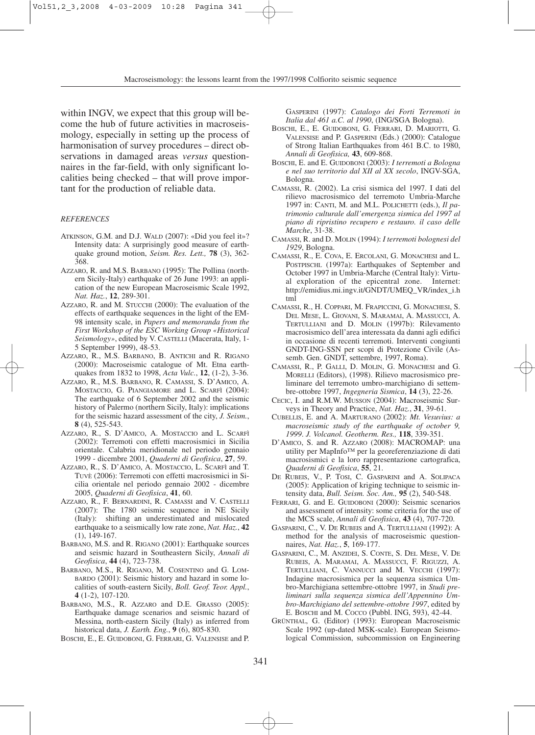within INGV, we expect that this group will become the hub of future activities in macroseismology, especially in setting up the process of harmonisation of survey procedures – direct observations in damaged areas *versus* questionnaires in the far-field, with only significant localities being checked – that will prove important for the production of reliable data.

#### *REFERENCES*

- ATKINSON, G.M. and D.J. WALD (2007): «Did you feel it»? Intensity data: A surprisingly good measure of earthquake ground motion, *Seism. Res. Lett.,* **78** (3), 362- 368.
- AZZARO, R. and M.S. BARBANO (1995): The Pollina (northern Sicily-Italy) earthquake of 26 June 1993: an application of the new European Macroseismic Scale 1992, *Nat. Haz.*, **12**, 289-301.
- AZZARO, R. and M. STUCCHI (2000): The evaluation of the effects of earthquake sequences in the light of the EM-98 intensity scale, in *Papers and memoranda from the First Workshop of the ESC Working Group «Historical Seismology»*, edited by V. CASTELLI (Macerata, Italy, 1- 5 September 1999), 48-53.
- AZZARO, R., M.S. BARBANO, B. ANTICHI and R. RIGANO (2000): Macroseismic catalogue of Mt. Etna earthquakes from 1832 to 1998, *Acta Vulc.*, **12**, (1-2), 3-36.
- AZZARO, R., M.S. BARBANO, R. CAMASSI, S. D'AMICO, A. MOSTACCIO, G. PIANGIAMORE and L. SCARFÌ (2004): The earthquake of 6 September 2002 and the seismic history of Palermo (northern Sicily, Italy): implications for the seismic hazard assessment of the city, *J. Seism.*, **8** (4), 525-543.
- AZZARO, R., S. D'AMICO, A. MOSTACCIO and L. SCARFÌ (2002): Terremoti con effetti macrosismici in Sicilia orientale. Calabria meridionale nel periodo gennaio 1999 - dicembre 2001, *Quaderni di Geofisica*, **27**, 59.
- AZZARO, R., S. D'AMICO, A. MOSTACCIO, L. SCARFÌ and T. TUVÈ (2006): Terremoti con effetti macrosismici in Sicilia orientale nel periodo gennaio 2002 - dicembre 2005, *Quaderni di Geofisica*, **41**, 60.
- AZZARO, R., F. BERNARDINI, R. CAMASSI and V. CASTELLI (2007): The 1780 seismic sequence in NE Sicily (Italy): shifting an underestimated and mislocated earthquake to a seismically low rate zone, *Nat. Haz.*, **42** (1), 149-167.
- BARBANO, M.S. and R. RIGANO (2001): Earthquake sources and seismic hazard in Southeastern Sicily, *Annali di Geofisica*, **44** (4), 723-738.
- BARBANO, M.S., R. RIGANO, M. COSENTINO and G. LOM-BARDO (2001): Seismic history and hazard in some localities of south-eastern Sicily, *Boll. Geof. Teor. Appl.*, **4** (1-2), 107-120.
- BARBANO, M.S., R. AZZARO and D.E. GRASSO (2005): Earthquake damage scenarios and seismic hazard of Messina, north-eastern Sicily (Italy) as inferred from historical data, *J. Earth. Eng.*, **9** (6), 805-830.

BOSCHI, E., E. GUIDOBONI, G. FERRARI, G. VALENSISE and P.

GASPERINI (1997): *Catalogo dei Forti Terremoti in Italia dal 461 a.C. al 1990*, (ING/SGA Bologna).

- BOSCHI, E., E. GUIDOBONI, G. FERRARI, D. MARIOTTI, G. VALENSISE and P. GASPERINI (Eds.) (2000): Catalogue of Strong Italian Earthquakes from 461 B.C. to 1980, *Annali di Geofisica,* **43**, 609-868.
- BOSCHI, E. and E. GUIDOBONI (2003): *I terremoti a Bologna e nel suo territorio dal XII al XX secolo*, INGV-SGA, Bologna.
- CAMASSI, R. (2002). La crisi sismica del 1997. I dati del rilievo macrosismico del terremoto Umbria-Marche 1997 in: CANTI, M. and M.L. POLICHETTI (eds.), *Il patrimonio culturale dall'emergenza sismica del 1997 al piano di ripristino recupero e restauro. il caso delle Marche*, 31-38.
- CAMASSI, R. and D. MOLIN (1994): *I terremoti bolognesi del 1929*, Bologna.
- CAMASSI, R., E. COVA, E. ERCOLANI, G. MONACHESI and L. POSTPISCHL (1997a): Earthquakes of September and October 1997 in Umbria-Marche (Central Italy): Virtual exploration of the epicentral zone. http://emidius.mi.ingv.it/GNDT/UMEQ\_VR/index\_i.h tml
- CAMASSI, R., H. COPPARI, M. FRAPICCINI, G. MONACHESI, S. DEL MESE, L. GIOVANI, S. MARAMAI, A. MASSUCCI, A. TERTULLIANI and D. MOLIN (1997b): Rilevamento macrosismico dell'area interessata da danni agli edifici in occasione di recenti terremoti. Interventi congiunti GNDT-ING-SSN per scopi di Protezione Civile (Assemb. Gen. GNDT, settembre, 1997, Roma).
- CAMASSI, R., P. GALLI, D. MOLIN, G. MONACHESI and G. MORELLI (Editors), (1998). Rilievo macrosismico preliminare del terremoto umbro-marchigiano di settembre-ottobre 1997, *Ingegneria Sismica*, **14** (3), 22-26.
- CECIC, I. and R.M.W. MUSSON (2004): Macroseismic Surveys in Theory and Practice, *Nat. Haz.*, **31**, 39-61.
- CUBELLIS, E. and A. MARTURANO (2002): *Mt. Vesuvius: a macroseismic study of the earthquake of october 9, 1999*. *J. Volcanol. Geotherm. Res.,* **118**, 339-351.
- D'AMICO, S. and R. AZZARO (2008): MACROMAP: una utility per MapInfo™ per la georeferenziazione di dati macrosismici e la loro rappresentazione cartografica, *Quaderni di Geofisica*, **55**, 21.
- DE RUBEIS, V., P. TOSI, C. GASPARINI and A. SOLIPACA (2005): Application of kriging technique to seismic intensity data, *Bull. Seism. Soc. Am.,* **95** (2), 540-548.
- FERRARI, G. and E. GUIDOBONI (2000): Seismic scenarios and assessment of intensity: some criteria for the use of the MCS scale, *Annali di Geofisica*, **43** (4), 707-720.
- GASPARINI, C., V. DE RUBEIS and A. TERTULLIANI (1992): A method for the analysis of macroseismic questionnaires, *Nat. Haz.*, **5**, 169-177.
- GASPARINI, C., M. ANZIDEI, S. CONTE, S. DEL MESE, V. DE RUBEIS, A. MARAMAI, A. MASSUCCI, F. RIGUZZI, A. TERTULLIANI, C. VANNUCCI and M. VECCHI (1997): Indagine macrosismica per la sequenza sismica Umbro-Marchigiana settembre-ottobre 1997, in *Studi preliminari sulla sequenza sismica dell'Appennino Umbro-Marchigiano del settembre-ottobre 1997*, edited by E. BOSCHI and M. COCCO (Pubbl. ING, 593), 42-44.
- GRÜNTHAL, G. (Editor) (1993): European Macroseismic Scale 1992 (up-dated MSK-scale). European Seismological Commission, subcommission on Engineering